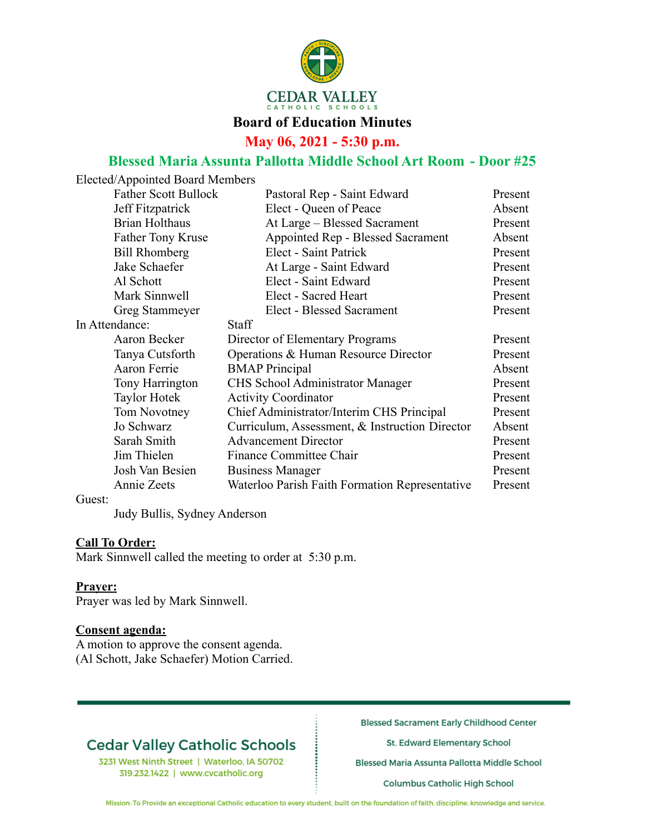

## **Board of Education Minutes**

**May 06, 2021 - 5:30 p.m.**

## **Blessed Maria Assunta Pallotta Middle School Art Room - Door #25**

|                | Elected/Appointed Board Members |                                                |         |
|----------------|---------------------------------|------------------------------------------------|---------|
|                | <b>Father Scott Bullock</b>     | Pastoral Rep - Saint Edward                    | Present |
|                | Jeff Fitzpatrick                | Elect - Queen of Peace                         | Absent  |
|                | <b>Brian Holthaus</b>           | At Large - Blessed Sacrament                   | Present |
|                | <b>Father Tony Kruse</b>        | Appointed Rep - Blessed Sacrament              | Absent  |
|                | <b>Bill Rhomberg</b>            | Elect - Saint Patrick                          | Present |
|                | Jake Schaefer                   | At Large - Saint Edward                        | Present |
|                | Al Schott                       | Elect - Saint Edward                           | Present |
|                | Mark Sinnwell                   | Elect - Sacred Heart                           | Present |
|                | Greg Stammeyer                  | Elect - Blessed Sacrament                      | Present |
| In Attendance: |                                 | <b>Staff</b>                                   |         |
|                | Aaron Becker                    | Director of Elementary Programs                | Present |
|                | Tanya Cutsforth                 | Operations & Human Resource Director           | Present |
|                | Aaron Ferrie                    | <b>BMAP</b> Principal                          | Absent  |
|                | Tony Harrington                 | <b>CHS</b> School Administrator Manager        | Present |
|                | <b>Taylor Hotek</b>             | <b>Activity Coordinator</b>                    | Present |
|                | Tom Novotney                    | Chief Administrator/Interim CHS Principal      | Present |
|                | Jo Schwarz                      | Curriculum, Assessment, & Instruction Director | Absent  |
|                | Sarah Smith                     | <b>Advancement Director</b>                    | Present |
|                | Jim Thielen                     | <b>Finance Committee Chair</b>                 | Present |
|                | Josh Van Besien                 | <b>Business Manager</b>                        | Present |
|                | Annie Zeets                     | Waterloo Parish Faith Formation Representative | Present |
| Guest:         |                                 |                                                |         |

Judy Bullis, Sydney Anderson

#### **Call To Order:**

Mark Sinnwell called the meeting to order at 5:30 p.m.

#### **Prayer:**

Prayer was led by Mark Sinnwell.

#### **Consent agenda:**

A motion to approve the consent agenda. (Al Schott, Jake Schaefer) Motion Carried.

# **Cedar Valley Catholic Schools**

3231 West Ninth Street | Waterloo, IA 50702 319.232.1422 | www.cvcatholic.org

**Blessed Sacrament Early Childhood Center** 

St. Edward Elementary School

Blessed Maria Assunta Pallotta Middle School

Columbus Catholic High School

Mission: To Provide an exceptional Catholic education to every student, built on the foundation of faith, discipline, knowledge and service.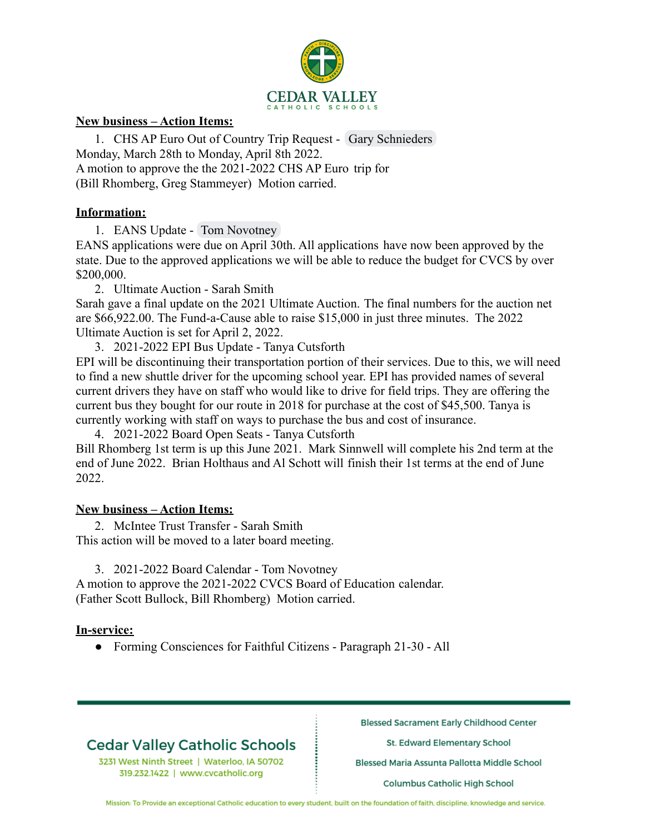

## **New business – Action Items:**

1. CHS AP Euro Out of Country Trip Request - Gary Schnieders Monday, March 28th to Monday, April 8th 2022. A motion to approve the the 2021-2022 CHS AP Euro trip for (Bill Rhomberg, Greg Stammeyer) Motion carried.

#### **Information:**

1. EANS Update - Tom Novotney

EANS applications were due on April 30th. All applications have now been approved by the state. Due to the approved applications we will be able to reduce the budget for CVCS by over \$200,000.

2. Ultimate Auction - Sarah Smith

Sarah gave a final update on the 2021 Ultimate Auction. The final numbers for the auction net are \$66,922.00. The Fund-a-Cause able to raise \$15,000 in just three minutes. The 2022 Ultimate Auction is set for April 2, 2022.

3. 2021-2022 EPI Bus Update - Tanya Cutsforth

EPI will be discontinuing their transportation portion of their services. Due to this, we will need to find a new shuttle driver for the upcoming school year. EPI has provided names of several current drivers they have on staff who would like to drive for field trips. They are offering the current bus they bought for our route in 2018 for purchase at the cost of \$45,500. Tanya is currently working with staff on ways to purchase the bus and cost of insurance.

4. 2021-2022 Board Open Seats - Tanya Cutsforth

Bill Rhomberg 1st term is up this June 2021. Mark Sinnwell will complete his 2nd term at the end of June 2022. Brian Holthaus and Al Schott will finish their 1st terms at the end of June 2022.

### **New business – Action Items:**

2. McIntee Trust Transfer - Sarah Smith This action will be moved to a later board meeting.

3. 2021-2022 Board Calendar - Tom Novotney

A motion to approve the 2021-2022 CVCS Board of Education calendar. (Father Scott Bullock, Bill Rhomberg) Motion carried.

### **In-service:**

● Forming Consciences for Faithful Citizens - Paragraph 21-30 - All

## **Cedar Valley Catholic Schools**

3231 West Ninth Street | Waterloo, IA 50702 319.232.1422 | www.cvcatholic.org

**Blessed Sacrament Early Childhood Center** 

St. Edward Elementary School

Blessed Maria Assunta Pallotta Middle School

Columbus Catholic High School

Mission: To Provide an exceptional Catholic education to every student, built on the foundation of faith, discipline, knowledge and service.